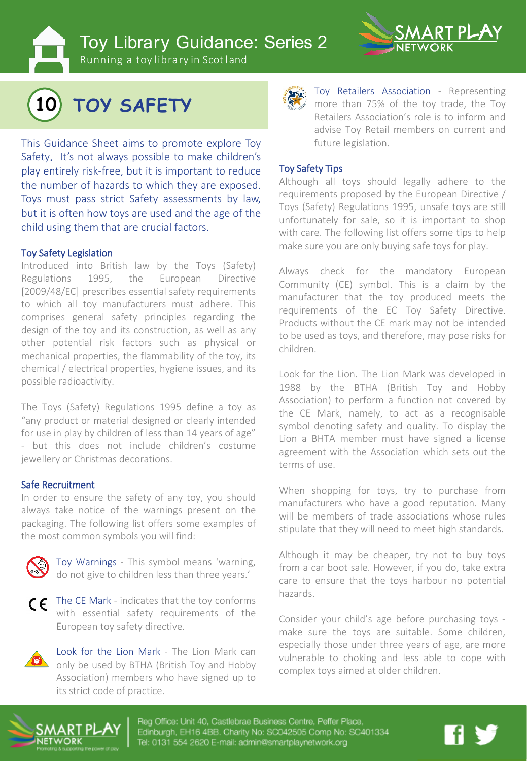**Toy Library Guidance: Series 2** 



Running a toy library in Scotland



# **10 TOY SAFETY**

This Guidance Sheet aims to promote explore Toy Safety. It's not always possible to make children's play entirely risk-free, but it is important to reduce the number of hazards to which they are exposed. Toys must pass strict Safety assessments by law, but it is often how toys are used and the age of the child using them that are crucial factors.

#### Toy Safety Legislation

Introduced into British law by the Toys (Safety) Regulations 1995, the European Directive [2009/48/EC] prescribes essential safety requirements to which all toy manufacturers must adhere. This comprises general safety principles regarding the design of the toy and its construction, as well as any other potential risk factors such as physical or mechanical properties, the flammability of the toy, its chemical / electrical properties, hygiene issues, and its possible radioactivity.

The Toys (Safety) Regulations 1995 define a toy as "any product or material designed or clearly intended for use in play by children of less than 14 years of age" - but this does not include children's costume jewellery or Christmas decorations.

#### Safe Recruitment

In order to ensure the safety of any toy, you should always take notice of the warnings present on the packaging. The following list offers some examples of the most common symbols you will find:



Toy Warnings - This symbol means 'warning, do not give to children less than three years.'



The CE Mark - indicates that the toy conforms with essential safety requirements of the European toy safety directive.

Look for the Lion Mark - The Lion Mark can only be used by BTHA (British Toy and Hobby Association) members who have signed up to its strict code of practice.



Toy Retailers Association - Representing more than 75% of the toy trade, the Toy Retailers Association's role is to inform and advise Toy Retail members on current and future legislation.

#### Toy Safety Tips

Although all toys should legally adhere to the requirements proposed by the European Directive / Toys (Safety) Regulations 1995, unsafe toys are still unfortunately for sale, so it is important to shop with care. The following list offers some tips to help make sure you are only buying safe toys for play.

Always check for the mandatory European Community (CE) symbol. This is a claim by the manufacturer that the toy produced meets the requirements of the EC Toy Safety Directive. Products without the CE mark may not be intended to be used as toys, and therefore, may pose risks for children.

Look for the Lion. The Lion Mark was developed in 1988 by the BTHA (British Toy and Hobby Association) to perform a function not covered by the CE Mark, namely, to act as a recognisable symbol denoting safety and quality. To display the Lion a BHTA member must have signed a license agreement with the Association which sets out the terms of use.

When shopping for toys, try to purchase from manufacturers who have a good reputation. Many will be members of trade associations whose rules stipulate that they will need to meet high standards.

Although it may be cheaper, try not to buy toys from a car boot sale. However, if you do, take extra care to ensure that the toys harbour no potential hazards.

Consider your child's age before purchasing toys make sure the toys are suitable. Some children, especially those under three years of age, are more vulnerable to choking and less able to cope with complex toys aimed at older children.



eg Office: Unit 40, Castlebrae Business C dinburgh, EH16 4BB, Charity No: SC042505 Comp No: SC401334 il: 0131 E54 9820 E-mail: admin@smartplaynetwo